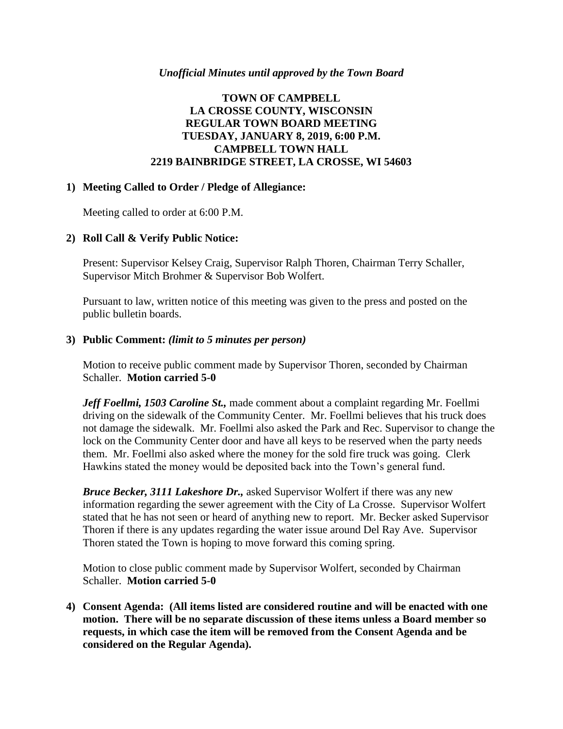## *Unofficial Minutes until approved by the Town Board*

# **TOWN OF CAMPBELL LA CROSSE COUNTY, WISCONSIN REGULAR TOWN BOARD MEETING TUESDAY, JANUARY 8, 2019, 6:00 P.M. CAMPBELL TOWN HALL 2219 BAINBRIDGE STREET, LA CROSSE, WI 54603**

## **1) Meeting Called to Order / Pledge of Allegiance:**

Meeting called to order at 6:00 P.M.

# **2) Roll Call & Verify Public Notice:**

Present: Supervisor Kelsey Craig, Supervisor Ralph Thoren, Chairman Terry Schaller, Supervisor Mitch Brohmer & Supervisor Bob Wolfert.

Pursuant to law, written notice of this meeting was given to the press and posted on the public bulletin boards.

## **3) Public Comment:** *(limit to 5 minutes per person)*

Motion to receive public comment made by Supervisor Thoren, seconded by Chairman Schaller. **Motion carried 5-0**

*Jeff Foellmi, 1503 Caroline St.,* made comment about a complaint regarding Mr. Foellmi driving on the sidewalk of the Community Center. Mr. Foellmi believes that his truck does not damage the sidewalk. Mr. Foellmi also asked the Park and Rec. Supervisor to change the lock on the Community Center door and have all keys to be reserved when the party needs them. Mr. Foellmi also asked where the money for the sold fire truck was going. Clerk Hawkins stated the money would be deposited back into the Town's general fund.

*Bruce Becker, 3111 Lakeshore Dr.,* asked Supervisor Wolfert if there was any new information regarding the sewer agreement with the City of La Crosse. Supervisor Wolfert stated that he has not seen or heard of anything new to report. Mr. Becker asked Supervisor Thoren if there is any updates regarding the water issue around Del Ray Ave. Supervisor Thoren stated the Town is hoping to move forward this coming spring.

Motion to close public comment made by Supervisor Wolfert, seconded by Chairman Schaller. **Motion carried 5-0**

**4) Consent Agenda: (All items listed are considered routine and will be enacted with one motion. There will be no separate discussion of these items unless a Board member so requests, in which case the item will be removed from the Consent Agenda and be considered on the Regular Agenda).**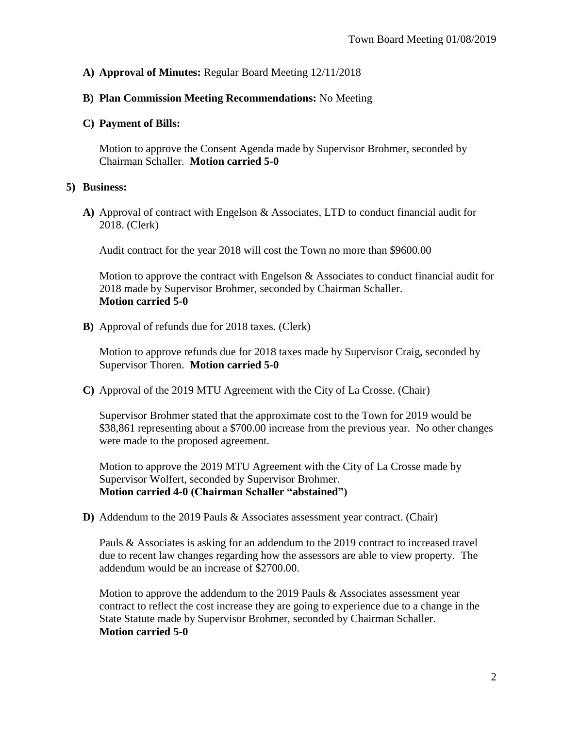# **A) Approval of Minutes:** Regular Board Meeting 12/11/2018

### **B) Plan Commission Meeting Recommendations:** No Meeting

#### **C) Payment of Bills:**

Motion to approve the Consent Agenda made by Supervisor Brohmer, seconded by Chairman Schaller. **Motion carried 5-0**

#### **5) Business:**

**A)** Approval of contract with Engelson & Associates, LTD to conduct financial audit for 2018. (Clerk)

Audit contract for the year 2018 will cost the Town no more than \$9600.00

Motion to approve the contract with Engelson  $\&$  Associates to conduct financial audit for 2018 made by Supervisor Brohmer, seconded by Chairman Schaller. **Motion carried 5-0**

**B)** Approval of refunds due for 2018 taxes. (Clerk)

Motion to approve refunds due for 2018 taxes made by Supervisor Craig, seconded by Supervisor Thoren. **Motion carried 5-0**

**C)** Approval of the 2019 MTU Agreement with the City of La Crosse. (Chair)

Supervisor Brohmer stated that the approximate cost to the Town for 2019 would be \$38,861 representing about a \$700.00 increase from the previous year. No other changes were made to the proposed agreement.

Motion to approve the 2019 MTU Agreement with the City of La Crosse made by Supervisor Wolfert, seconded by Supervisor Brohmer. **Motion carried 4-0 (Chairman Schaller "abstained")**

**D)** Addendum to the 2019 Pauls & Associates assessment year contract. (Chair)

Pauls & Associates is asking for an addendum to the 2019 contract to increased travel due to recent law changes regarding how the assessors are able to view property. The addendum would be an increase of \$2700.00.

Motion to approve the addendum to the 2019 Pauls & Associates assessment year contract to reflect the cost increase they are going to experience due to a change in the State Statute made by Supervisor Brohmer, seconded by Chairman Schaller. **Motion carried 5-0**